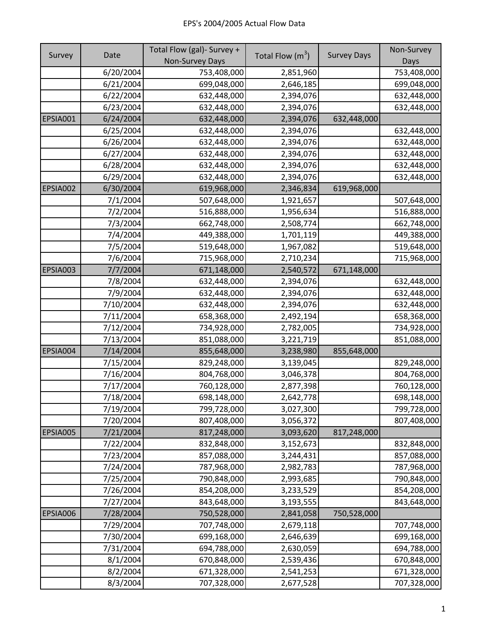|          |           | Total Flow (gal)- Survey + |                    |                    | Non-Survey  |
|----------|-----------|----------------------------|--------------------|--------------------|-------------|
| Survey   | Date      | Non-Survey Days            | Total Flow $(m^3)$ | <b>Survey Days</b> | Days        |
|          | 6/20/2004 | 753,408,000                | 2,851,960          |                    | 753,408,000 |
|          | 6/21/2004 | 699,048,000                | 2,646,185          |                    | 699,048,000 |
|          | 6/22/2004 | 632,448,000                | 2,394,076          |                    | 632,448,000 |
|          | 6/23/2004 | 632,448,000                | 2,394,076          |                    | 632,448,000 |
| EPSIA001 | 6/24/2004 | 632,448,000                | 2,394,076          | 632,448,000        |             |
|          | 6/25/2004 | 632,448,000                | 2,394,076          |                    | 632,448,000 |
|          | 6/26/2004 | 632,448,000                | 2,394,076          |                    | 632,448,000 |
|          | 6/27/2004 | 632,448,000                | 2,394,076          |                    | 632,448,000 |
|          | 6/28/2004 | 632,448,000                | 2,394,076          |                    | 632,448,000 |
|          | 6/29/2004 | 632,448,000                | 2,394,076          |                    | 632,448,000 |
| EPSIA002 | 6/30/2004 | 619,968,000                | 2,346,834          | 619,968,000        |             |
|          | 7/1/2004  | 507,648,000                | 1,921,657          |                    | 507,648,000 |
|          | 7/2/2004  | 516,888,000                | 1,956,634          |                    | 516,888,000 |
|          | 7/3/2004  | 662,748,000                | 2,508,774          |                    | 662,748,000 |
|          | 7/4/2004  | 449,388,000                | 1,701,119          |                    | 449,388,000 |
|          | 7/5/2004  | 519,648,000                | 1,967,082          |                    | 519,648,000 |
|          | 7/6/2004  | 715,968,000                | 2,710,234          |                    | 715,968,000 |
| EPSIA003 | 7/7/2004  | 671,148,000                | 2,540,572          | 671,148,000        |             |
|          | 7/8/2004  | 632,448,000                | 2,394,076          |                    | 632,448,000 |
|          | 7/9/2004  | 632,448,000                | 2,394,076          |                    | 632,448,000 |
|          | 7/10/2004 | 632,448,000                | 2,394,076          |                    | 632,448,000 |
|          | 7/11/2004 | 658,368,000                | 2,492,194          |                    | 658,368,000 |
|          | 7/12/2004 | 734,928,000                | 2,782,005          |                    | 734,928,000 |
|          | 7/13/2004 | 851,088,000                | 3,221,719          |                    | 851,088,000 |
| EPSIA004 | 7/14/2004 | 855,648,000                | 3,238,980          | 855,648,000        |             |
|          | 7/15/2004 | 829,248,000                | 3,139,045          |                    | 829,248,000 |
|          | 7/16/2004 | 804,768,000                | 3,046,378          |                    | 804,768,000 |
|          | 7/17/2004 | 760,128,000                | 2,877,398          |                    | 760,128,000 |
|          | 7/18/2004 | 698,148,000                | 2,642,778          |                    | 698,148,000 |
|          | 7/19/2004 | 799,728,000                | 3,027,300          |                    | 799,728,000 |
|          | 7/20/2004 | 807,408,000                | 3,056,372          |                    | 807,408,000 |
| EPSIA005 | 7/21/2004 | 817,248,000                | 3,093,620          | 817,248,000        |             |
|          | 7/22/2004 | 832,848,000                | 3,152,673          |                    | 832,848,000 |
|          | 7/23/2004 | 857,088,000                | 3,244,431          |                    | 857,088,000 |
|          | 7/24/2004 | 787,968,000                | 2,982,783          |                    | 787,968,000 |
|          | 7/25/2004 | 790,848,000                | 2,993,685          |                    | 790,848,000 |
|          | 7/26/2004 | 854,208,000                | 3,233,529          |                    | 854,208,000 |
|          | 7/27/2004 | 843,648,000                | 3,193,555          |                    | 843,648,000 |
| EPSIA006 | 7/28/2004 | 750,528,000                | 2,841,058          | 750,528,000        |             |
|          | 7/29/2004 | 707,748,000                | 2,679,118          |                    | 707,748,000 |
|          | 7/30/2004 | 699,168,000                | 2,646,639          |                    | 699,168,000 |
|          | 7/31/2004 | 694,788,000                | 2,630,059          |                    | 694,788,000 |
|          | 8/1/2004  | 670,848,000                | 2,539,436          |                    | 670,848,000 |
|          | 8/2/2004  | 671,328,000                | 2,541,253          |                    | 671,328,000 |
|          | 8/3/2004  | 707,328,000                | 2,677,528          |                    | 707,328,000 |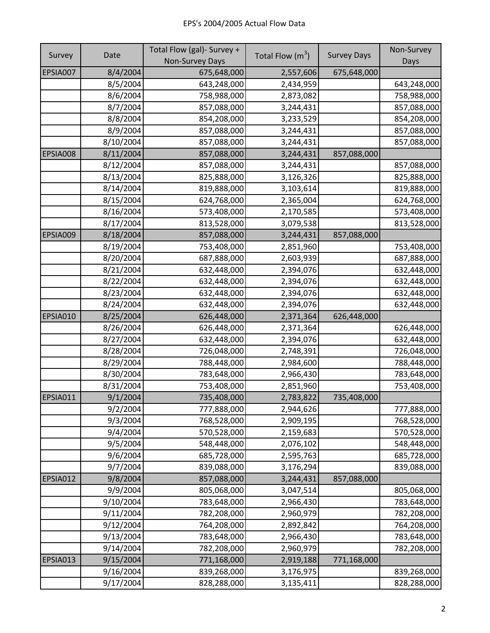|          |           | Total Flow (gal)- Survey + |                    |                    | Non-Survey  |
|----------|-----------|----------------------------|--------------------|--------------------|-------------|
| Survey   | Date      | Non-Survey Days            | Total Flow $(m^3)$ | <b>Survey Days</b> | Days        |
| EPSIA007 | 8/4/2004  | 675,648,000                | 2,557,606          | 675,648,000        |             |
|          | 8/5/2004  | 643,248,000                | 2,434,959          |                    | 643,248,000 |
|          | 8/6/2004  | 758,988,000                | 2,873,082          |                    | 758,988,000 |
|          | 8/7/2004  | 857,088,000                | 3,244,431          |                    | 857,088,000 |
|          | 8/8/2004  | 854,208,000                | 3,233,529          |                    | 854,208,000 |
|          | 8/9/2004  | 857,088,000                | 3,244,431          |                    | 857,088,000 |
|          | 8/10/2004 | 857,088,000                | 3,244,431          |                    | 857,088,000 |
| EPSIA008 | 8/11/2004 | 857,088,000                | 3,244,431          | 857,088,000        |             |
|          | 8/12/2004 | 857,088,000                | 3,244,431          |                    | 857,088,000 |
|          | 8/13/2004 | 825,888,000                | 3,126,326          |                    | 825,888,000 |
|          | 8/14/2004 | 819,888,000                | 3,103,614          |                    | 819,888,000 |
|          | 8/15/2004 | 624,768,000                | 2,365,004          |                    | 624,768,000 |
|          | 8/16/2004 | 573,408,000                | 2,170,585          |                    | 573,408,000 |
|          | 8/17/2004 | 813,528,000                | 3,079,538          |                    | 813,528,000 |
| EPSIA009 | 8/18/2004 | 857,088,000                | 3,244,431          | 857,088,000        |             |
|          | 8/19/2004 | 753,408,000                | 2,851,960          |                    | 753,408,000 |
|          | 8/20/2004 | 687,888,000                | 2,603,939          |                    | 687,888,000 |
|          | 8/21/2004 | 632,448,000                | 2,394,076          |                    | 632,448,000 |
|          | 8/22/2004 | 632,448,000                | 2,394,076          |                    | 632,448,000 |
|          | 8/23/2004 | 632,448,000                | 2,394,076          |                    | 632,448,000 |
|          | 8/24/2004 | 632,448,000                | 2,394,076          |                    | 632,448,000 |
| EPSIA010 | 8/25/2004 | 626,448,000                | 2,371,364          | 626,448,000        |             |
|          | 8/26/2004 | 626,448,000                | 2,371,364          |                    | 626,448,000 |
|          | 8/27/2004 | 632,448,000                | 2,394,076          |                    | 632,448,000 |
|          | 8/28/2004 | 726,048,000                | 2,748,391          |                    | 726,048,000 |
|          | 8/29/2004 | 788,448,000                | 2,984,600          |                    | 788,448,000 |
|          | 8/30/2004 | 783,648,000                | 2,966,430          |                    | 783,648,000 |
|          | 8/31/2004 | 753,408,000                | 2,851,960          |                    | 753,408,000 |
| EPSIA011 | 9/1/2004  | 735,408,000                | 2,783,822          | 735,408,000        |             |
|          | 9/2/2004  | 777,888,000                | 2,944,626          |                    | 777,888,000 |
|          | 9/3/2004  | 768,528,000                | 2,909,195          |                    | 768,528,000 |
|          | 9/4/2004  | 570,528,000                | 2,159,683          |                    | 570,528,000 |
|          | 9/5/2004  | 548,448,000                | 2,076,102          |                    | 548,448,000 |
|          | 9/6/2004  | 685,728,000                | 2,595,763          |                    | 685,728,000 |
|          | 9/7/2004  | 839,088,000                | 3,176,294          |                    | 839,088,000 |
| EPSIA012 | 9/8/2004  | 857,088,000                | 3,244,431          | 857,088,000        |             |
|          | 9/9/2004  | 805,068,000                | 3,047,514          |                    | 805,068,000 |
|          | 9/10/2004 | 783,648,000                | 2,966,430          |                    | 783,648,000 |
|          | 9/11/2004 | 782,208,000                | 2,960,979          |                    | 782,208,000 |
|          | 9/12/2004 | 764,208,000                | 2,892,842          |                    | 764,208,000 |
|          | 9/13/2004 | 783,648,000                | 2,966,430          |                    | 783,648,000 |
|          | 9/14/2004 | 782,208,000                | 2,960,979          |                    | 782,208,000 |
| EPSIA013 | 9/15/2004 | 771,168,000                | 2,919,188          | 771,168,000        |             |
|          | 9/16/2004 | 839,268,000                | 3,176,975          |                    | 839,268,000 |
|          | 9/17/2004 | 828,288,000                | 3,135,411          |                    | 828,288,000 |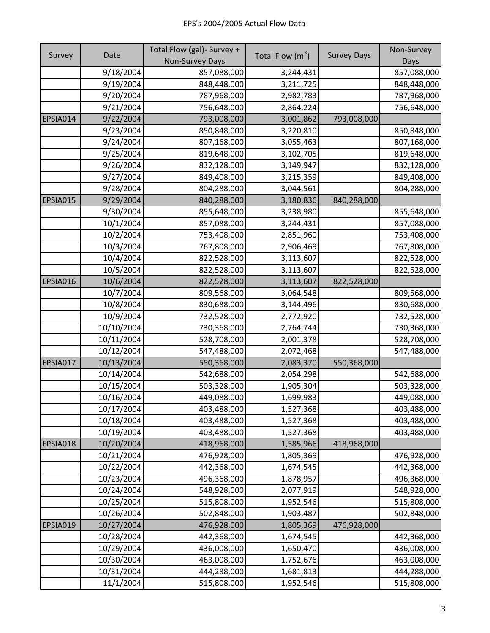|          |            | Total Flow (gal)- Survey + |                    |                    | Non-Survey  |
|----------|------------|----------------------------|--------------------|--------------------|-------------|
| Survey   | Date       | <b>Non-Survey Days</b>     | Total Flow $(m^3)$ | <b>Survey Days</b> | Days        |
|          | 9/18/2004  | 857,088,000                | 3,244,431          |                    | 857,088,000 |
|          | 9/19/2004  | 848,448,000                | 3,211,725          |                    | 848,448,000 |
|          | 9/20/2004  | 787,968,000                | 2,982,783          |                    | 787,968,000 |
|          | 9/21/2004  | 756,648,000                | 2,864,224          |                    | 756,648,000 |
| EPSIA014 | 9/22/2004  | 793,008,000                | 3,001,862          | 793,008,000        |             |
|          | 9/23/2004  | 850,848,000                | 3,220,810          |                    | 850,848,000 |
|          | 9/24/2004  | 807,168,000                | 3,055,463          |                    | 807,168,000 |
|          | 9/25/2004  | 819,648,000                | 3,102,705          |                    | 819,648,000 |
|          | 9/26/2004  | 832,128,000                | 3,149,947          |                    | 832,128,000 |
|          | 9/27/2004  | 849,408,000                | 3,215,359          |                    | 849,408,000 |
|          | 9/28/2004  | 804,288,000                | 3,044,561          |                    | 804,288,000 |
| EPSIA015 | 9/29/2004  | 840,288,000                | 3,180,836          | 840,288,000        |             |
|          | 9/30/2004  | 855,648,000                | 3,238,980          |                    | 855,648,000 |
|          | 10/1/2004  | 857,088,000                | 3,244,431          |                    | 857,088,000 |
|          | 10/2/2004  | 753,408,000                | 2,851,960          |                    | 753,408,000 |
|          | 10/3/2004  | 767,808,000                | 2,906,469          |                    | 767,808,000 |
|          | 10/4/2004  | 822,528,000                | 3,113,607          |                    | 822,528,000 |
|          | 10/5/2004  | 822,528,000                | 3,113,607          |                    | 822,528,000 |
| EPSIA016 | 10/6/2004  | 822,528,000                | 3,113,607          | 822,528,000        |             |
|          | 10/7/2004  | 809,568,000                | 3,064,548          |                    | 809,568,000 |
|          | 10/8/2004  | 830,688,000                | 3,144,496          |                    | 830,688,000 |
|          | 10/9/2004  | 732,528,000                | 2,772,920          |                    | 732,528,000 |
|          | 10/10/2004 | 730,368,000                | 2,764,744          |                    | 730,368,000 |
|          | 10/11/2004 | 528,708,000                | 2,001,378          |                    | 528,708,000 |
|          | 10/12/2004 | 547,488,000                | 2,072,468          |                    | 547,488,000 |
| EPSIA017 | 10/13/2004 | 550,368,000                | 2,083,370          | 550,368,000        |             |
|          | 10/14/2004 | 542,688,000                | 2,054,298          |                    | 542,688,000 |
|          | 10/15/2004 | 503,328,000                | 1,905,304          |                    | 503,328,000 |
|          | 10/16/2004 | 449,088,000                | 1,699,983          |                    | 449,088,000 |
|          | 10/17/2004 | 403,488,000                | 1,527,368          |                    | 403,488,000 |
|          | 10/18/2004 | 403,488,000                | 1,527,368          |                    | 403,488,000 |
|          | 10/19/2004 | 403,488,000                | 1,527,368          |                    | 403,488,000 |
| EPSIA018 | 10/20/2004 | 418,968,000                | 1,585,966          | 418,968,000        |             |
|          | 10/21/2004 | 476,928,000                | 1,805,369          |                    | 476,928,000 |
|          | 10/22/2004 | 442,368,000                | 1,674,545          |                    | 442,368,000 |
|          | 10/23/2004 | 496,368,000                | 1,878,957          |                    | 496,368,000 |
|          | 10/24/2004 | 548,928,000                | 2,077,919          |                    | 548,928,000 |
|          | 10/25/2004 | 515,808,000                | 1,952,546          |                    | 515,808,000 |
|          | 10/26/2004 | 502,848,000                | 1,903,487          |                    | 502,848,000 |
| EPSIA019 | 10/27/2004 | 476,928,000                | 1,805,369          | 476,928,000        |             |
|          | 10/28/2004 | 442,368,000                | 1,674,545          |                    | 442,368,000 |
|          | 10/29/2004 | 436,008,000                | 1,650,470          |                    | 436,008,000 |
|          | 10/30/2004 | 463,008,000                | 1,752,676          |                    | 463,008,000 |
|          | 10/31/2004 | 444,288,000                | 1,681,813          |                    | 444,288,000 |
|          | 11/1/2004  | 515,808,000                | 1,952,546          |                    | 515,808,000 |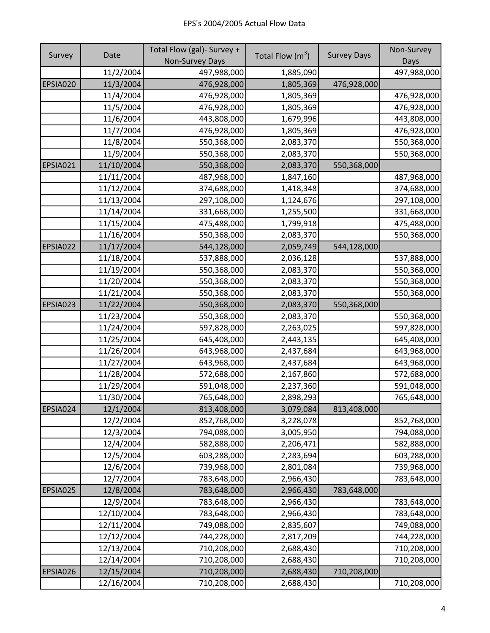|          |            | Total Flow (gal)- Survey + |                    |                    | Non-Survey  |
|----------|------------|----------------------------|--------------------|--------------------|-------------|
| Survey   | Date       | Non-Survey Days            | Total Flow $(m^3)$ | <b>Survey Days</b> | Days        |
|          | 11/2/2004  | 497,988,000                | 1,885,090          |                    | 497,988,000 |
| EPSIA020 | 11/3/2004  | 476,928,000                | 1,805,369          | 476,928,000        |             |
|          | 11/4/2004  | 476,928,000                | 1,805,369          |                    | 476,928,000 |
|          | 11/5/2004  | 476,928,000                | 1,805,369          |                    | 476,928,000 |
|          | 11/6/2004  | 443,808,000                | 1,679,996          |                    | 443,808,000 |
|          | 11/7/2004  | 476,928,000                | 1,805,369          |                    | 476,928,000 |
|          | 11/8/2004  | 550,368,000                | 2,083,370          |                    | 550,368,000 |
|          | 11/9/2004  | 550,368,000                | 2,083,370          |                    | 550,368,000 |
| EPSIA021 | 11/10/2004 | 550,368,000                | 2,083,370          | 550,368,000        |             |
|          | 11/11/2004 | 487,968,000                | 1,847,160          |                    | 487,968,000 |
|          | 11/12/2004 | 374,688,000                | 1,418,348          |                    | 374,688,000 |
|          | 11/13/2004 | 297,108,000                | 1,124,676          |                    | 297,108,000 |
|          | 11/14/2004 | 331,668,000                | 1,255,500          |                    | 331,668,000 |
|          | 11/15/2004 | 475,488,000                | 1,799,918          |                    | 475,488,000 |
|          | 11/16/2004 | 550,368,000                | 2,083,370          |                    | 550,368,000 |
| EPSIA022 | 11/17/2004 | 544,128,000                | 2,059,749          | 544,128,000        |             |
|          | 11/18/2004 | 537,888,000                | 2,036,128          |                    | 537,888,000 |
|          | 11/19/2004 | 550,368,000                | 2,083,370          |                    | 550,368,000 |
|          | 11/20/2004 | 550,368,000                | 2,083,370          |                    | 550,368,000 |
|          | 11/21/2004 | 550,368,000                | 2,083,370          |                    | 550,368,000 |
| EPSIA023 | 11/22/2004 | 550,368,000                | 2,083,370          | 550,368,000        |             |
|          | 11/23/2004 | 550,368,000                | 2,083,370          |                    | 550,368,000 |
|          | 11/24/2004 | 597,828,000                | 2,263,025          |                    | 597,828,000 |
|          | 11/25/2004 | 645,408,000                | 2,443,135          |                    | 645,408,000 |
|          | 11/26/2004 | 643,968,000                | 2,437,684          |                    | 643,968,000 |
|          | 11/27/2004 | 643,968,000                | 2,437,684          |                    | 643,968,000 |
|          | 11/28/2004 | 572,688,000                | 2,167,860          |                    | 572,688,000 |
|          | 11/29/2004 | 591,048,000                | 2,237,360          |                    | 591,048,000 |
|          | 11/30/2004 | 765,648,000                | 2,898,293          |                    | 765,648,000 |
| EPSIA024 | 12/1/2004  | 813,408,000                | 3,079,084          | 813,408,000        |             |
|          | 12/2/2004  | 852,768,000                | 3,228,078          |                    | 852,768,000 |
|          | 12/3/2004  | 794,088,000                | 3,005,950          |                    | 794,088,000 |
|          | 12/4/2004  | 582,888,000                | 2,206,471          |                    | 582,888,000 |
|          | 12/5/2004  | 603,288,000                | 2,283,694          |                    | 603,288,000 |
|          | 12/6/2004  | 739,968,000                | 2,801,084          |                    | 739,968,000 |
|          | 12/7/2004  | 783,648,000                | 2,966,430          |                    | 783,648,000 |
| EPSIA025 | 12/8/2004  | 783,648,000                | 2,966,430          | 783,648,000        |             |
|          | 12/9/2004  | 783,648,000                | 2,966,430          |                    | 783,648,000 |
|          | 12/10/2004 | 783,648,000                | 2,966,430          |                    | 783,648,000 |
|          | 12/11/2004 | 749,088,000                | 2,835,607          |                    | 749,088,000 |
|          | 12/12/2004 | 744,228,000                | 2,817,209          |                    | 744,228,000 |
|          | 12/13/2004 | 710,208,000                | 2,688,430          |                    | 710,208,000 |
|          | 12/14/2004 | 710,208,000                | 2,688,430          |                    | 710,208,000 |
| EPSIA026 | 12/15/2004 | 710,208,000                | 2,688,430          | 710,208,000        |             |
|          | 12/16/2004 | 710,208,000                | 2,688,430          |                    | 710,208,000 |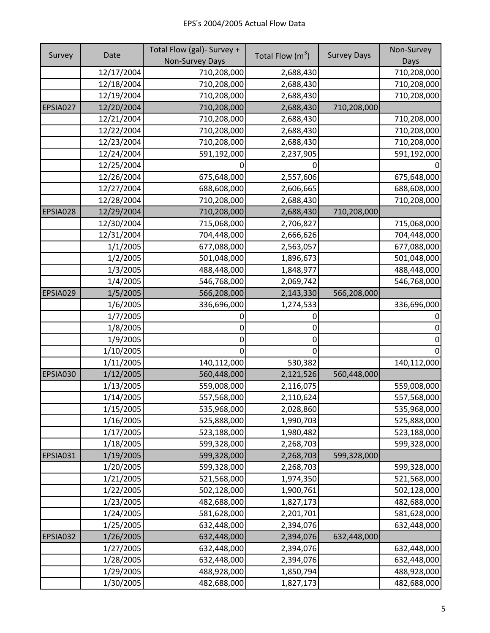|          |            | Total Flow (gal)- Survey + |                    |                    | Non-Survey  |
|----------|------------|----------------------------|--------------------|--------------------|-------------|
| Survey   | Date       | Non-Survey Days            | Total Flow $(m^3)$ | <b>Survey Days</b> | Days        |
|          | 12/17/2004 | 710,208,000                | 2,688,430          |                    | 710,208,000 |
|          | 12/18/2004 | 710,208,000                | 2,688,430          |                    | 710,208,000 |
|          | 12/19/2004 | 710,208,000                | 2,688,430          |                    | 710,208,000 |
| EPSIA027 | 12/20/2004 | 710,208,000                | 2,688,430          | 710,208,000        |             |
|          | 12/21/2004 | 710,208,000                | 2,688,430          |                    | 710,208,000 |
|          | 12/22/2004 | 710,208,000                | 2,688,430          |                    | 710,208,000 |
|          | 12/23/2004 | 710,208,000                | 2,688,430          |                    | 710,208,000 |
|          | 12/24/2004 | 591,192,000                | 2,237,905          |                    | 591,192,000 |
|          | 12/25/2004 |                            |                    |                    |             |
|          | 12/26/2004 | 675,648,000                | 2,557,606          |                    | 675,648,000 |
|          | 12/27/2004 | 688,608,000                | 2,606,665          |                    | 688,608,000 |
|          | 12/28/2004 | 710,208,000                | 2,688,430          |                    | 710,208,000 |
| EPSIA028 | 12/29/2004 | 710,208,000                | 2,688,430          | 710,208,000        |             |
|          | 12/30/2004 | 715,068,000                | 2,706,827          |                    | 715,068,000 |
|          | 12/31/2004 | 704,448,000                | 2,666,626          |                    | 704,448,000 |
|          | 1/1/2005   | 677,088,000                | 2,563,057          |                    | 677,088,000 |
|          | 1/2/2005   | 501,048,000                | 1,896,673          |                    | 501,048,000 |
|          | 1/3/2005   | 488,448,000                | 1,848,977          |                    | 488,448,000 |
|          | 1/4/2005   | 546,768,000                | 2,069,742          |                    | 546,768,000 |
| EPSIA029 | 1/5/2005   | 566,208,000                | 2,143,330          | 566,208,000        |             |
|          | 1/6/2005   | 336,696,000                | 1,274,533          |                    | 336,696,000 |
|          | 1/7/2005   |                            |                    |                    |             |
|          | 1/8/2005   | 0                          | 0                  |                    | O           |
|          | 1/9/2005   | 0                          |                    |                    |             |
|          | 1/10/2005  | 0                          | ი                  |                    |             |
|          | 1/11/2005  | 140,112,000                | 530,382            |                    | 140,112,000 |
| EPSIA030 | 1/12/2005  | 560,448,000                | 2,121,526          | 560,448,000        |             |
|          | 1/13/2005  | 559,008,000                | 2,116,075          |                    | 559,008,000 |
|          | 1/14/2005  | 557,568,000                | 2,110,624          |                    | 557,568,000 |
|          | 1/15/2005  | 535,968,000                | 2,028,860          |                    | 535,968,000 |
|          | 1/16/2005  | 525,888,000                | 1,990,703          |                    | 525,888,000 |
|          | 1/17/2005  | 523,188,000                | 1,980,482          |                    | 523,188,000 |
|          | 1/18/2005  | 599,328,000                | 2,268,703          |                    | 599,328,000 |
| EPSIA031 | 1/19/2005  | 599,328,000                | 2,268,703          | 599,328,000        |             |
|          | 1/20/2005  | 599,328,000                | 2,268,703          |                    | 599,328,000 |
|          | 1/21/2005  | 521,568,000                | 1,974,350          |                    | 521,568,000 |
|          | 1/22/2005  | 502,128,000                | 1,900,761          |                    | 502,128,000 |
|          | 1/23/2005  | 482,688,000                | 1,827,173          |                    | 482,688,000 |
|          | 1/24/2005  | 581,628,000                | 2,201,701          |                    | 581,628,000 |
|          | 1/25/2005  | 632,448,000                | 2,394,076          |                    | 632,448,000 |
| EPSIA032 | 1/26/2005  | 632,448,000                | 2,394,076          | 632,448,000        |             |
|          | 1/27/2005  | 632,448,000                | 2,394,076          |                    | 632,448,000 |
|          | 1/28/2005  | 632,448,000                | 2,394,076          |                    | 632,448,000 |
|          | 1/29/2005  | 488,928,000                | 1,850,794          |                    | 488,928,000 |
|          | 1/30/2005  | 482,688,000                | 1,827,173          |                    | 482,688,000 |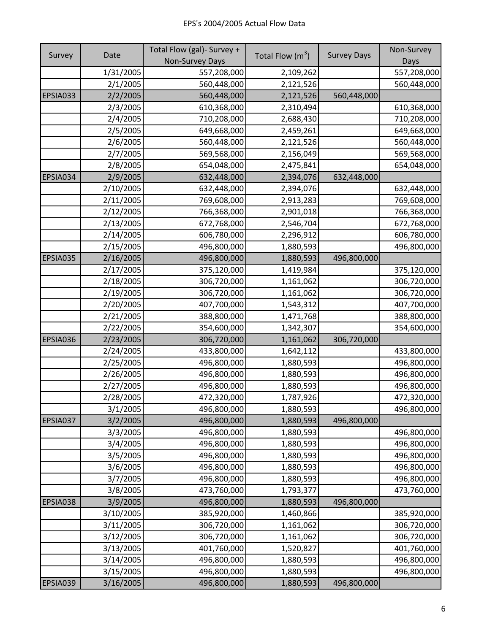|          |           | Total Flow (gal)- Survey + |                    |                    | Non-Survey  |
|----------|-----------|----------------------------|--------------------|--------------------|-------------|
| Survey   | Date      | <b>Non-Survey Days</b>     | Total Flow $(m^3)$ | <b>Survey Days</b> | Days        |
|          | 1/31/2005 | 557,208,000                | 2,109,262          |                    | 557,208,000 |
|          | 2/1/2005  | 560,448,000                | 2,121,526          |                    | 560,448,000 |
| EPSIA033 | 2/2/2005  | 560,448,000                | 2,121,526          | 560,448,000        |             |
|          | 2/3/2005  | 610,368,000                | 2,310,494          |                    | 610,368,000 |
|          | 2/4/2005  | 710,208,000                | 2,688,430          |                    | 710,208,000 |
|          | 2/5/2005  | 649,668,000                | 2,459,261          |                    | 649,668,000 |
|          | 2/6/2005  | 560,448,000                | 2,121,526          |                    | 560,448,000 |
|          | 2/7/2005  | 569,568,000                | 2,156,049          |                    | 569,568,000 |
|          | 2/8/2005  | 654,048,000                | 2,475,841          |                    | 654,048,000 |
| EPSIA034 | 2/9/2005  | 632,448,000                | 2,394,076          | 632,448,000        |             |
|          | 2/10/2005 | 632,448,000                | 2,394,076          |                    | 632,448,000 |
|          | 2/11/2005 | 769,608,000                | 2,913,283          |                    | 769,608,000 |
|          | 2/12/2005 | 766,368,000                | 2,901,018          |                    | 766,368,000 |
|          | 2/13/2005 | 672,768,000                | 2,546,704          |                    | 672,768,000 |
|          | 2/14/2005 | 606,780,000                | 2,296,912          |                    | 606,780,000 |
|          | 2/15/2005 | 496,800,000                | 1,880,593          |                    | 496,800,000 |
| EPSIA035 | 2/16/2005 | 496,800,000                | 1,880,593          | 496,800,000        |             |
|          | 2/17/2005 | 375,120,000                | 1,419,984          |                    | 375,120,000 |
|          | 2/18/2005 | 306,720,000                | 1,161,062          |                    | 306,720,000 |
|          | 2/19/2005 | 306,720,000                | 1,161,062          |                    | 306,720,000 |
|          | 2/20/2005 | 407,700,000                | 1,543,312          |                    | 407,700,000 |
|          | 2/21/2005 | 388,800,000                | 1,471,768          |                    | 388,800,000 |
|          | 2/22/2005 | 354,600,000                | 1,342,307          |                    | 354,600,000 |
| EPSIA036 | 2/23/2005 | 306,720,000                | 1,161,062          | 306,720,000        |             |
|          | 2/24/2005 | 433,800,000                | 1,642,112          |                    | 433,800,000 |
|          | 2/25/2005 | 496,800,000                | 1,880,593          |                    | 496,800,000 |
|          | 2/26/2005 | 496,800,000                | 1,880,593          |                    | 496,800,000 |
|          | 2/27/2005 | 496,800,000                | 1,880,593          |                    | 496,800,000 |
|          | 2/28/2005 | 472,320,000                | 1,787,926          |                    | 472,320,000 |
|          | 3/1/2005  | 496,800,000                | 1,880,593          |                    | 496,800,000 |
| EPSIA037 | 3/2/2005  | 496,800,000                | 1,880,593          | 496,800,000        |             |
|          | 3/3/2005  | 496,800,000                | 1,880,593          |                    | 496,800,000 |
|          | 3/4/2005  | 496,800,000                | 1,880,593          |                    | 496,800,000 |
|          | 3/5/2005  | 496,800,000                | 1,880,593          |                    | 496,800,000 |
|          | 3/6/2005  | 496,800,000                | 1,880,593          |                    | 496,800,000 |
|          | 3/7/2005  | 496,800,000                | 1,880,593          |                    | 496,800,000 |
|          | 3/8/2005  | 473,760,000                | 1,793,377          |                    | 473,760,000 |
| EPSIA038 | 3/9/2005  | 496,800,000                | 1,880,593          | 496,800,000        |             |
|          | 3/10/2005 | 385,920,000                | 1,460,866          |                    | 385,920,000 |
|          | 3/11/2005 | 306,720,000                | 1,161,062          |                    | 306,720,000 |
|          | 3/12/2005 | 306,720,000                | 1,161,062          |                    | 306,720,000 |
|          | 3/13/2005 | 401,760,000                | 1,520,827          |                    | 401,760,000 |
|          | 3/14/2005 | 496,800,000                | 1,880,593          |                    | 496,800,000 |
|          | 3/15/2005 | 496,800,000                | 1,880,593          |                    | 496,800,000 |
| EPSIA039 | 3/16/2005 | 496,800,000                | 1,880,593          | 496,800,000        |             |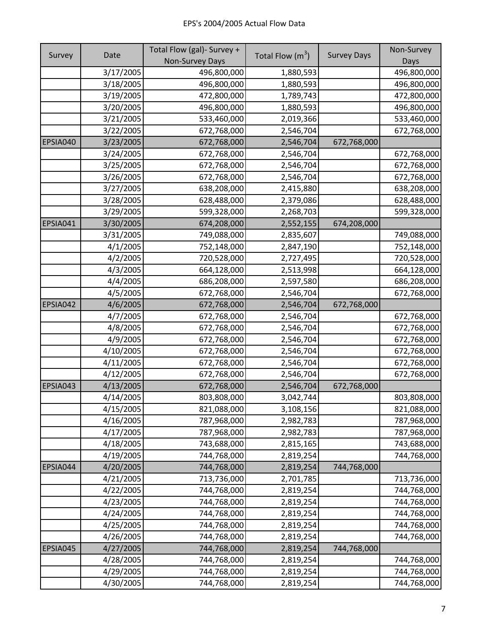|          | Date      | Total Flow (gal)- Survey + |                    |                    | Non-Survey  |
|----------|-----------|----------------------------|--------------------|--------------------|-------------|
| Survey   |           | <b>Non-Survey Days</b>     | Total Flow $(m^3)$ | <b>Survey Days</b> | Days        |
|          | 3/17/2005 | 496,800,000                | 1,880,593          |                    | 496,800,000 |
|          | 3/18/2005 | 496,800,000                | 1,880,593          |                    | 496,800,000 |
|          | 3/19/2005 | 472,800,000                | 1,789,743          |                    | 472,800,000 |
|          | 3/20/2005 | 496,800,000                | 1,880,593          |                    | 496,800,000 |
|          | 3/21/2005 | 533,460,000                | 2,019,366          |                    | 533,460,000 |
|          | 3/22/2005 | 672,768,000                | 2,546,704          |                    | 672,768,000 |
| EPSIA040 | 3/23/2005 | 672,768,000                | 2,546,704          | 672,768,000        |             |
|          | 3/24/2005 | 672,768,000                | 2,546,704          |                    | 672,768,000 |
|          | 3/25/2005 | 672,768,000                | 2,546,704          |                    | 672,768,000 |
|          | 3/26/2005 | 672,768,000                | 2,546,704          |                    | 672,768,000 |
|          | 3/27/2005 | 638,208,000                | 2,415,880          |                    | 638,208,000 |
|          | 3/28/2005 | 628,488,000                | 2,379,086          |                    | 628,488,000 |
|          | 3/29/2005 | 599,328,000                | 2,268,703          |                    | 599,328,000 |
| EPSIA041 | 3/30/2005 | 674,208,000                | 2,552,155          | 674,208,000        |             |
|          | 3/31/2005 | 749,088,000                | 2,835,607          |                    | 749,088,000 |
|          | 4/1/2005  | 752,148,000                | 2,847,190          |                    | 752,148,000 |
|          | 4/2/2005  | 720,528,000                | 2,727,495          |                    | 720,528,000 |
|          | 4/3/2005  | 664,128,000                | 2,513,998          |                    | 664,128,000 |
|          | 4/4/2005  | 686,208,000                | 2,597,580          |                    | 686,208,000 |
|          | 4/5/2005  | 672,768,000                | 2,546,704          |                    | 672,768,000 |
| EPSIA042 | 4/6/2005  | 672,768,000                | 2,546,704          | 672,768,000        |             |
|          | 4/7/2005  | 672,768,000                | 2,546,704          |                    | 672,768,000 |
|          | 4/8/2005  | 672,768,000                | 2,546,704          |                    | 672,768,000 |
|          | 4/9/2005  | 672,768,000                | 2,546,704          |                    | 672,768,000 |
|          | 4/10/2005 | 672,768,000                | 2,546,704          |                    | 672,768,000 |
|          | 4/11/2005 | 672,768,000                | 2,546,704          |                    | 672,768,000 |
|          | 4/12/2005 | 672,768,000                | 2,546,704          |                    | 672,768,000 |
| EPSIA043 | 4/13/2005 | 672,768,000                | 2,546,704          | 672,768,000        |             |
|          | 4/14/2005 | 803,808,000                | 3,042,744          |                    | 803,808,000 |
|          | 4/15/2005 | 821,088,000                | 3,108,156          |                    | 821,088,000 |
|          | 4/16/2005 | 787,968,000                | 2,982,783          |                    | 787,968,000 |
|          | 4/17/2005 | 787,968,000                | 2,982,783          |                    | 787,968,000 |
|          | 4/18/2005 | 743,688,000                | 2,815,165          |                    | 743,688,000 |
|          | 4/19/2005 | 744,768,000                | 2,819,254          |                    | 744,768,000 |
| EPSIA044 | 4/20/2005 | 744,768,000                | 2,819,254          | 744,768,000        |             |
|          | 4/21/2005 | 713,736,000                | 2,701,785          |                    | 713,736,000 |
|          | 4/22/2005 | 744,768,000                | 2,819,254          |                    | 744,768,000 |
|          | 4/23/2005 | 744,768,000                | 2,819,254          |                    | 744,768,000 |
|          | 4/24/2005 | 744,768,000                | 2,819,254          |                    | 744,768,000 |
|          | 4/25/2005 | 744,768,000                | 2,819,254          |                    | 744,768,000 |
|          | 4/26/2005 | 744,768,000                | 2,819,254          |                    | 744,768,000 |
| EPSIA045 | 4/27/2005 | 744,768,000                | 2,819,254          | 744,768,000        |             |
|          | 4/28/2005 | 744,768,000                | 2,819,254          |                    | 744,768,000 |
|          | 4/29/2005 | 744,768,000                | 2,819,254          |                    | 744,768,000 |
|          | 4/30/2005 | 744,768,000                | 2,819,254          |                    | 744,768,000 |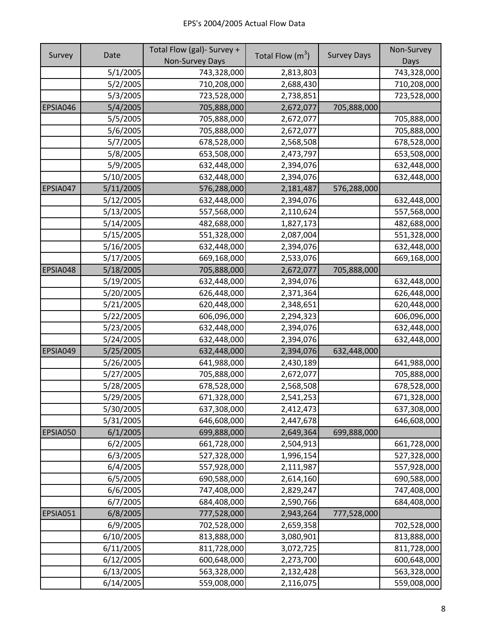|          |           | Total Flow (gal)- Survey + |                    |                    | Non-Survey  |
|----------|-----------|----------------------------|--------------------|--------------------|-------------|
| Survey   | Date      | Non-Survey Days            | Total Flow $(m^3)$ | <b>Survey Days</b> | Days        |
|          | 5/1/2005  | 743,328,000                | 2,813,803          |                    | 743,328,000 |
|          | 5/2/2005  | 710,208,000                | 2,688,430          |                    | 710,208,000 |
|          | 5/3/2005  | 723,528,000                | 2,738,851          |                    | 723,528,000 |
| EPSIA046 | 5/4/2005  | 705,888,000                | 2,672,077          | 705,888,000        |             |
|          | 5/5/2005  | 705,888,000                | 2,672,077          |                    | 705,888,000 |
|          | 5/6/2005  | 705,888,000                | 2,672,077          |                    | 705,888,000 |
|          | 5/7/2005  | 678,528,000                | 2,568,508          |                    | 678,528,000 |
|          | 5/8/2005  | 653,508,000                | 2,473,797          |                    | 653,508,000 |
|          | 5/9/2005  | 632,448,000                | 2,394,076          |                    | 632,448,000 |
|          | 5/10/2005 | 632,448,000                | 2,394,076          |                    | 632,448,000 |
| EPSIA047 | 5/11/2005 | 576,288,000                | 2,181,487          | 576,288,000        |             |
|          | 5/12/2005 | 632,448,000                | 2,394,076          |                    | 632,448,000 |
|          | 5/13/2005 | 557,568,000                | 2,110,624          |                    | 557,568,000 |
|          | 5/14/2005 | 482,688,000                | 1,827,173          |                    | 482,688,000 |
|          | 5/15/2005 | 551,328,000                | 2,087,004          |                    | 551,328,000 |
|          | 5/16/2005 | 632,448,000                | 2,394,076          |                    | 632,448,000 |
|          | 5/17/2005 | 669,168,000                | 2,533,076          |                    | 669,168,000 |
| EPSIA048 | 5/18/2005 | 705,888,000                | 2,672,077          | 705,888,000        |             |
|          | 5/19/2005 | 632,448,000                | 2,394,076          |                    | 632,448,000 |
|          | 5/20/2005 | 626,448,000                | 2,371,364          |                    | 626,448,000 |
|          | 5/21/2005 | 620,448,000                | 2,348,651          |                    | 620,448,000 |
|          | 5/22/2005 | 606,096,000                | 2,294,323          |                    | 606,096,000 |
|          | 5/23/2005 | 632,448,000                | 2,394,076          |                    | 632,448,000 |
|          | 5/24/2005 | 632,448,000                | 2,394,076          |                    | 632,448,000 |
| EPSIA049 | 5/25/2005 | 632,448,000                | 2,394,076          | 632,448,000        |             |
|          | 5/26/2005 | 641,988,000                | 2,430,189          |                    | 641,988,000 |
|          | 5/27/2005 | 705,888,000                | 2,672,077          |                    | 705,888,000 |
|          | 5/28/2005 | 678,528,000                | 2,568,508          |                    | 678,528,000 |
|          | 5/29/2005 | 671,328,000                | 2,541,253          |                    | 671,328,000 |
|          | 5/30/2005 | 637,308,000                | 2,412,473          |                    | 637,308,000 |
|          | 5/31/2005 | 646,608,000                | 2,447,678          |                    | 646,608,000 |
| EPSIA050 | 6/1/2005  | 699,888,000                | 2,649,364          | 699,888,000        |             |
|          | 6/2/2005  | 661,728,000                | 2,504,913          |                    | 661,728,000 |
|          | 6/3/2005  | 527,328,000                | 1,996,154          |                    | 527,328,000 |
|          | 6/4/2005  | 557,928,000                | 2,111,987          |                    | 557,928,000 |
|          | 6/5/2005  | 690,588,000                | 2,614,160          |                    | 690,588,000 |
|          | 6/6/2005  | 747,408,000                | 2,829,247          |                    | 747,408,000 |
|          | 6/7/2005  | 684,408,000                | 2,590,766          |                    | 684,408,000 |
| EPSIA051 | 6/8/2005  | 777,528,000                | 2,943,264          | 777,528,000        |             |
|          | 6/9/2005  | 702,528,000                | 2,659,358          |                    | 702,528,000 |
|          | 6/10/2005 | 813,888,000                | 3,080,901          |                    | 813,888,000 |
|          | 6/11/2005 | 811,728,000                | 3,072,725          |                    | 811,728,000 |
|          | 6/12/2005 | 600,648,000                | 2,273,700          |                    | 600,648,000 |
|          | 6/13/2005 | 563,328,000                | 2,132,428          |                    | 563,328,000 |
|          | 6/14/2005 | 559,008,000                | 2,116,075          |                    | 559,008,000 |